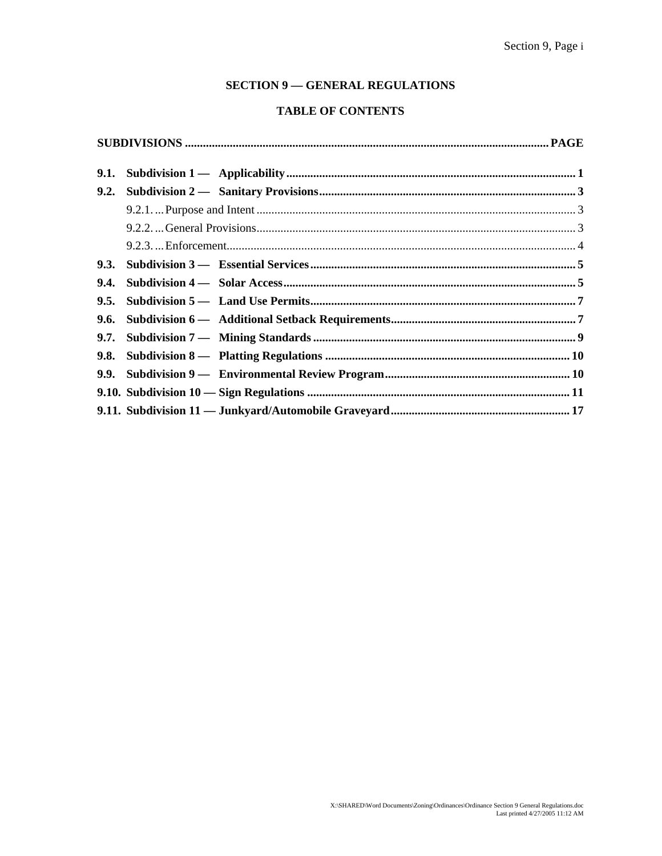## **SECTION 9 – GENERAL REGULATIONS**

# **TABLE OF CONTENTS**

| 9.1. |  |  |
|------|--|--|
| 9.2. |  |  |
|      |  |  |
|      |  |  |
|      |  |  |
| 9.3. |  |  |
| 9.4. |  |  |
| 9.5. |  |  |
|      |  |  |
| 9.7. |  |  |
|      |  |  |
| 9.9. |  |  |
|      |  |  |
|      |  |  |
|      |  |  |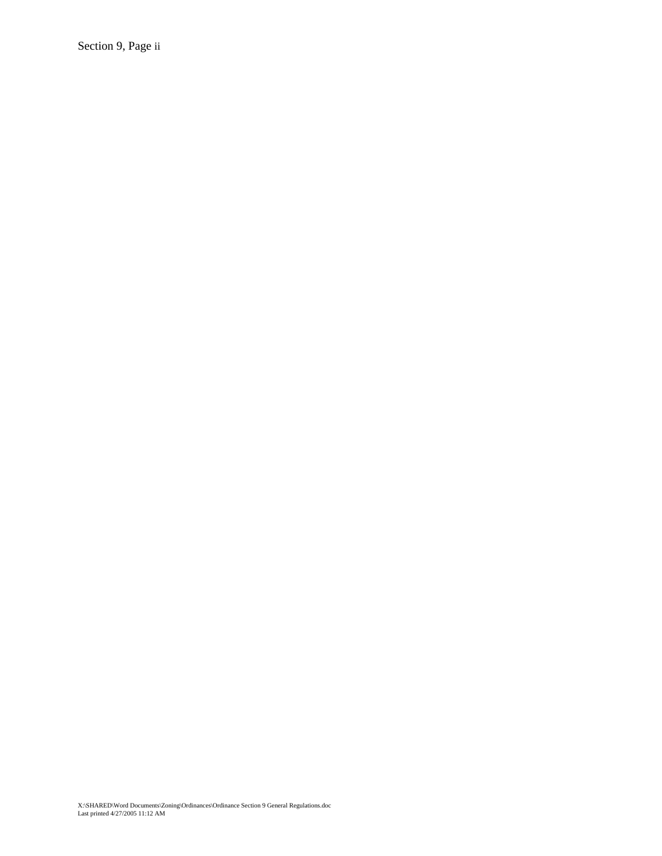Section 9, Page ii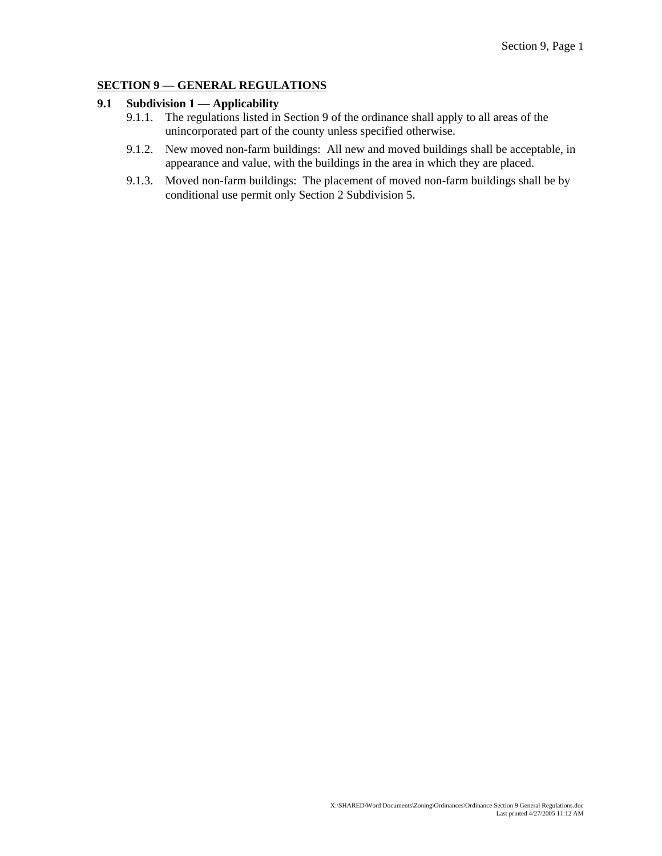## **SECTION 9** — **GENERAL REGULATIONS**

### **9.1 Subdivision 1 — Applicability**

- 9.1.1. The regulations listed in Section 9 of the ordinance shall apply to all areas of the unincorporated part of the county unless specified otherwise.
- 9.1.2. New moved non-farm buildings: All new and moved buildings shall be acceptable, in appearance and value, with the buildings in the area in which they are placed.
- 9.1.3. Moved non-farm buildings: The placement of moved non-farm buildings shall be by conditional use permit only Section 2 Subdivision 5.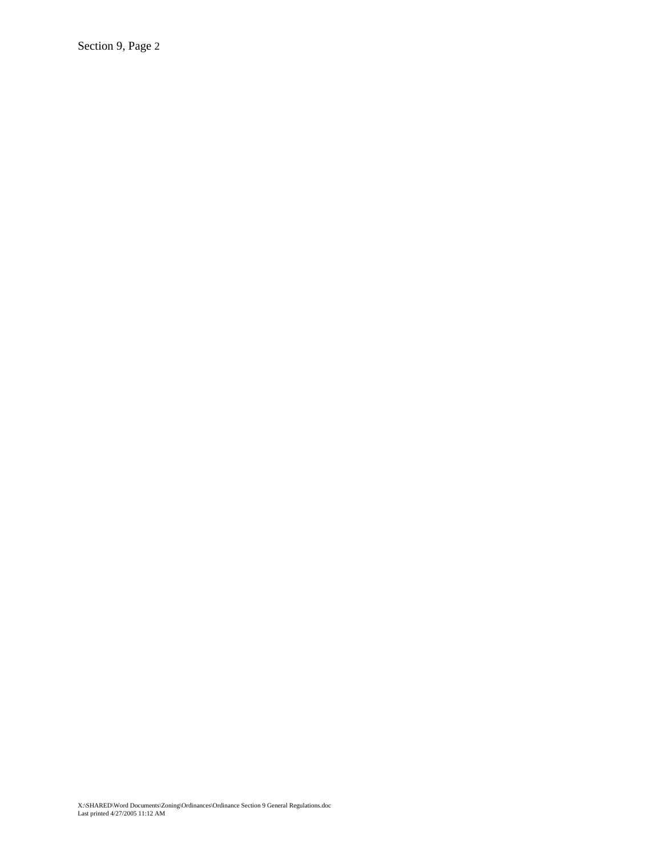Section 9, Page 2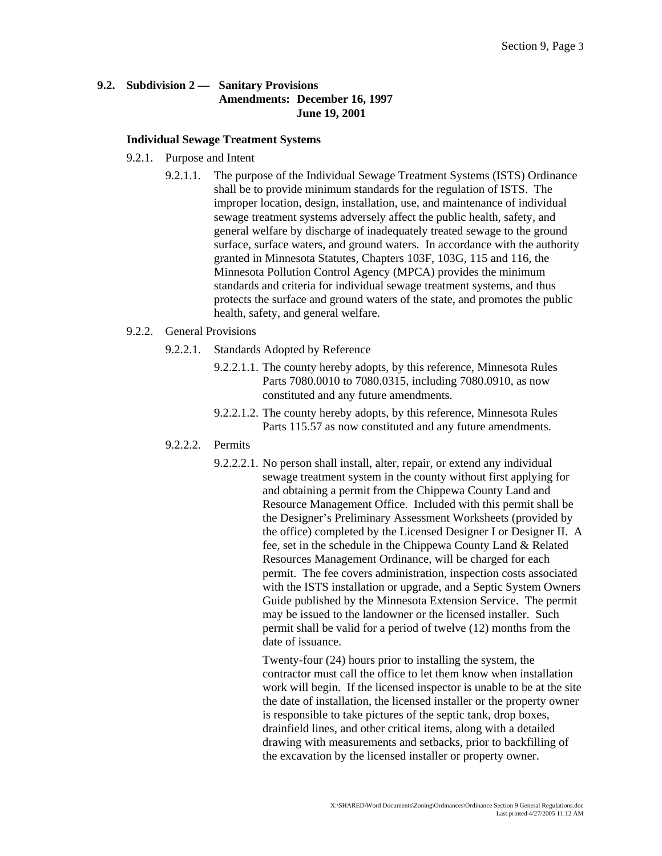### **9.2. Subdivision 2 — Sanitary Provisions Amendments: December 16, 1997 June 19, 2001**

#### **Individual Sewage Treatment Systems**

- 9.2.1. Purpose and Intent
	- 9.2.1.1. The purpose of the Individual Sewage Treatment Systems (ISTS) Ordinance shall be to provide minimum standards for the regulation of ISTS. The improper location, design, installation, use, and maintenance of individual sewage treatment systems adversely affect the public health, safety, and general welfare by discharge of inadequately treated sewage to the ground surface, surface waters, and ground waters. In accordance with the authority granted in Minnesota Statutes, Chapters 103F, 103G, 115 and 116, the Minnesota Pollution Control Agency (MPCA) provides the minimum standards and criteria for individual sewage treatment systems, and thus protects the surface and ground waters of the state, and promotes the public health, safety, and general welfare.

#### 9.2.2. General Provisions

- 9.2.2.1. Standards Adopted by Reference
	- 9.2.2.1.1. The county hereby adopts, by this reference, Minnesota Rules Parts 7080.0010 to 7080.0315, including 7080.0910, as now constituted and any future amendments.
	- 9.2.2.1.2. The county hereby adopts, by this reference, Minnesota Rules Parts 115.57 as now constituted and any future amendments.

## 9.2.2.2. Permits

9.2.2.2.1. No person shall install, alter, repair, or extend any individual sewage treatment system in the county without first applying for and obtaining a permit from the Chippewa County Land and Resource Management Office. Included with this permit shall be the Designer's Preliminary Assessment Worksheets (provided by the office) completed by the Licensed Designer I or Designer II. A fee, set in the schedule in the Chippewa County Land & Related Resources Management Ordinance, will be charged for each permit. The fee covers administration, inspection costs associated with the ISTS installation or upgrade, and a Septic System Owners Guide published by the Minnesota Extension Service. The permit may be issued to the landowner or the licensed installer. Such permit shall be valid for a period of twelve (12) months from the date of issuance.

> Twenty-four (24) hours prior to installing the system, the contractor must call the office to let them know when installation work will begin. If the licensed inspector is unable to be at the site the date of installation, the licensed installer or the property owner is responsible to take pictures of the septic tank, drop boxes, drainfield lines, and other critical items, along with a detailed drawing with measurements and setbacks, prior to backfilling of the excavation by the licensed installer or property owner.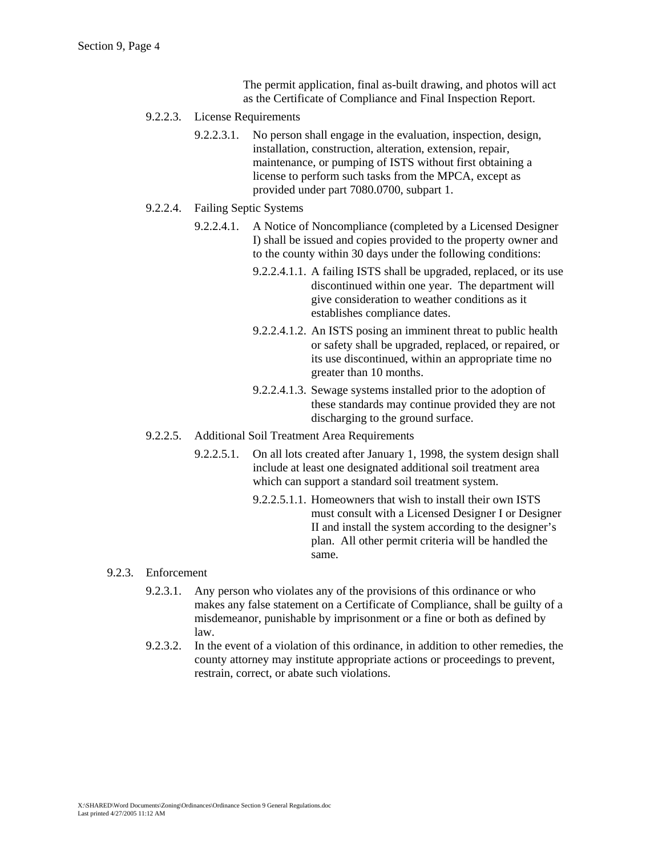The permit application, final as-built drawing, and photos will act as the Certificate of Compliance and Final Inspection Report.

- 9.2.2.3. License Requirements
	- 9.2.2.3.1. No person shall engage in the evaluation, inspection, design, installation, construction, alteration, extension, repair, maintenance, or pumping of ISTS without first obtaining a license to perform such tasks from the MPCA, except as provided under part 7080.0700, subpart 1.
- 9.2.2.4. Failing Septic Systems
	- 9.2.2.4.1. A Notice of Noncompliance (completed by a Licensed Designer I) shall be issued and copies provided to the property owner and to the county within 30 days under the following conditions:
		- 9.2.2.4.1.1. A failing ISTS shall be upgraded, replaced, or its use discontinued within one year. The department will give consideration to weather conditions as it establishes compliance dates.
		- 9.2.2.4.1.2. An ISTS posing an imminent threat to public health or safety shall be upgraded, replaced, or repaired, or its use discontinued, within an appropriate time no greater than 10 months.
		- 9.2.2.4.1.3. Sewage systems installed prior to the adoption of these standards may continue provided they are not discharging to the ground surface.
- 9.2.2.5. Additional Soil Treatment Area Requirements
	- 9.2.2.5.1. On all lots created after January 1, 1998, the system design shall include at least one designated additional soil treatment area which can support a standard soil treatment system.
		- 9.2.2.5.1.1. Homeowners that wish to install their own ISTS must consult with a Licensed Designer I or Designer II and install the system according to the designer's plan. All other permit criteria will be handled the same.
- 9.2.3. Enforcement
	- 9.2.3.1. Any person who violates any of the provisions of this ordinance or who makes any false statement on a Certificate of Compliance, shall be guilty of a misdemeanor, punishable by imprisonment or a fine or both as defined by law.
	- 9.2.3.2. In the event of a violation of this ordinance, in addition to other remedies, the county attorney may institute appropriate actions or proceedings to prevent, restrain, correct, or abate such violations.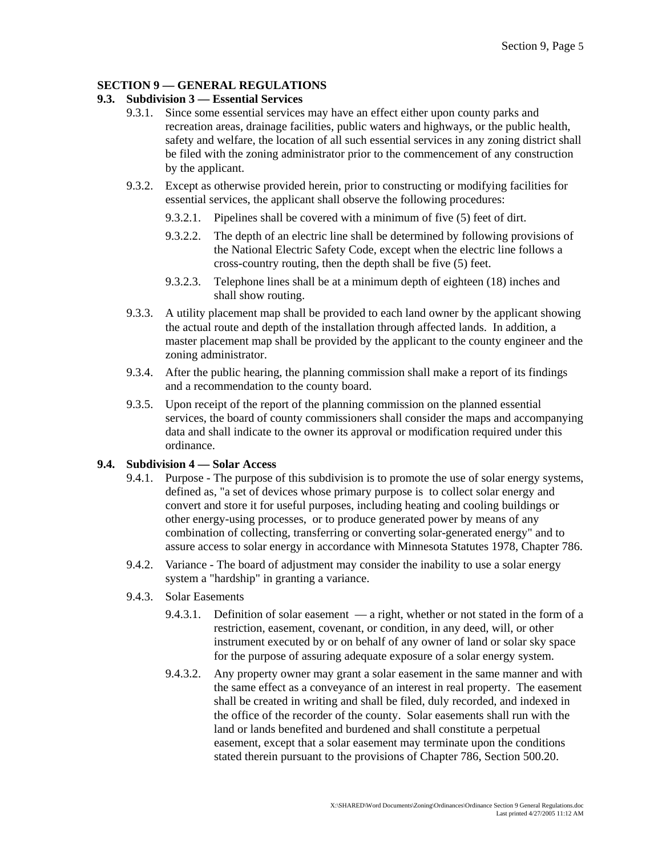### **SECTION 9 — GENERAL REGULATIONS**

### **9.3. Subdivision 3 — Essential Services**

- 9.3.1. Since some essential services may have an effect either upon county parks and recreation areas, drainage facilities, public waters and highways, or the public health, safety and welfare, the location of all such essential services in any zoning district shall be filed with the zoning administrator prior to the commencement of any construction by the applicant.
- 9.3.2. Except as otherwise provided herein, prior to constructing or modifying facilities for essential services, the applicant shall observe the following procedures:
	- 9.3.2.1. Pipelines shall be covered with a minimum of five (5) feet of dirt.
	- 9.3.2.2. The depth of an electric line shall be determined by following provisions of the National Electric Safety Code, except when the electric line follows a cross-country routing, then the depth shall be five (5) feet.
	- 9.3.2.3. Telephone lines shall be at a minimum depth of eighteen (18) inches and shall show routing.
- 9.3.3. A utility placement map shall be provided to each land owner by the applicant showing the actual route and depth of the installation through affected lands. In addition, a master placement map shall be provided by the applicant to the county engineer and the zoning administrator.
- 9.3.4. After the public hearing, the planning commission shall make a report of its findings and a recommendation to the county board.
- 9.3.5. Upon receipt of the report of the planning commission on the planned essential services, the board of county commissioners shall consider the maps and accompanying data and shall indicate to the owner its approval or modification required under this ordinance.

## **9.4. Subdivision 4 — Solar Access**

- 9.4.1. Purpose The purpose of this subdivision is to promote the use of solar energy systems, defined as, "a set of devices whose primary purpose is to collect solar energy and convert and store it for useful purposes, including heating and cooling buildings or other energy-using processes, or to produce generated power by means of any combination of collecting, transferring or converting solar-generated energy" and to assure access to solar energy in accordance with Minnesota Statutes 1978, Chapter 786.
- 9.4.2. Variance The board of adjustment may consider the inability to use a solar energy system a "hardship" in granting a variance.
- 9.4.3. Solar Easements
	- 9.4.3.1. Definition of solar easement a right, whether or not stated in the form of a restriction, easement, covenant, or condition, in any deed, will, or other instrument executed by or on behalf of any owner of land or solar sky space for the purpose of assuring adequate exposure of a solar energy system.
	- 9.4.3.2. Any property owner may grant a solar easement in the same manner and with the same effect as a conveyance of an interest in real property. The easement shall be created in writing and shall be filed, duly recorded, and indexed in the office of the recorder of the county. Solar easements shall run with the land or lands benefited and burdened and shall constitute a perpetual easement, except that a solar easement may terminate upon the conditions stated therein pursuant to the provisions of Chapter 786, Section 500.20.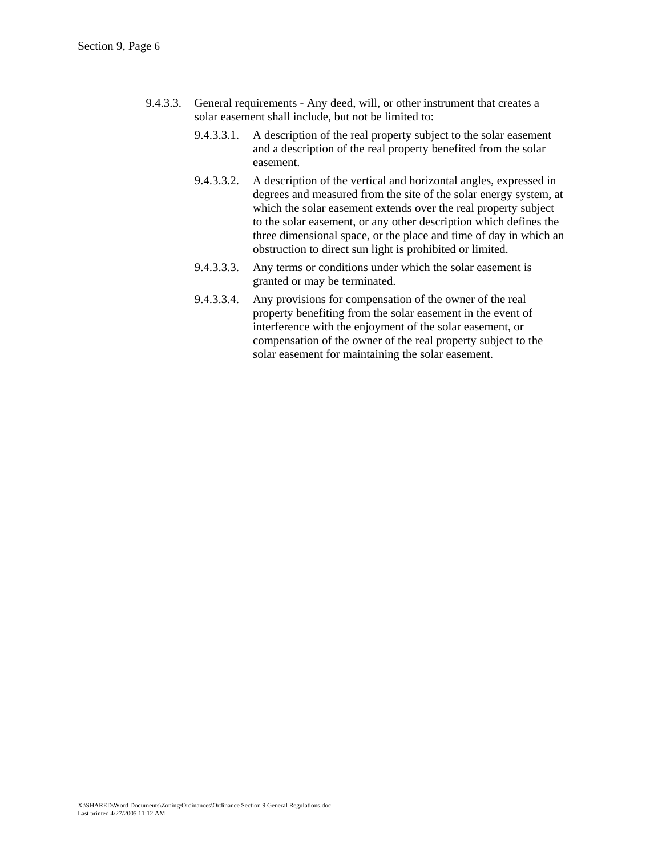- 9.4.3.3. General requirements Any deed, will, or other instrument that creates a solar easement shall include, but not be limited to:
	- 9.4.3.3.1. A description of the real property subject to the solar easement and a description of the real property benefited from the solar easement.
	- 9.4.3.3.2. A description of the vertical and horizontal angles, expressed in degrees and measured from the site of the solar energy system, at which the solar easement extends over the real property subject to the solar easement, or any other description which defines the three dimensional space, or the place and time of day in which an obstruction to direct sun light is prohibited or limited.
	- 9.4.3.3.3. Any terms or conditions under which the solar easement is granted or may be terminated.
	- 9.4.3.3.4. Any provisions for compensation of the owner of the real property benefiting from the solar easement in the event of interference with the enjoyment of the solar easement, or compensation of the owner of the real property subject to the solar easement for maintaining the solar easement.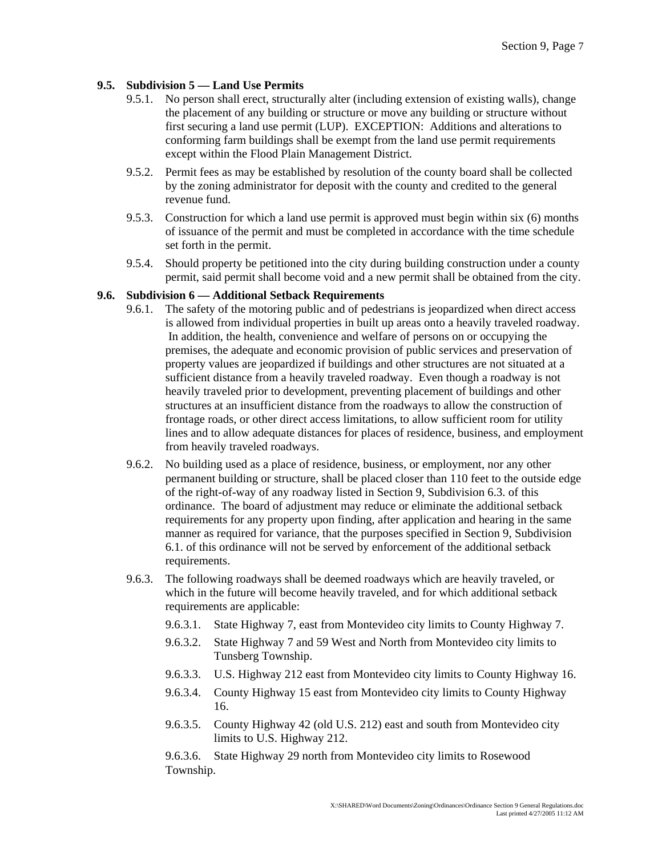## **9.5. Subdivision 5 — Land Use Permits**

- 9.5.1. No person shall erect, structurally alter (including extension of existing walls), change the placement of any building or structure or move any building or structure without first securing a land use permit (LUP). EXCEPTION: Additions and alterations to conforming farm buildings shall be exempt from the land use permit requirements except within the Flood Plain Management District.
- 9.5.2. Permit fees as may be established by resolution of the county board shall be collected by the zoning administrator for deposit with the county and credited to the general revenue fund.
- 9.5.3. Construction for which a land use permit is approved must begin within six (6) months of issuance of the permit and must be completed in accordance with the time schedule set forth in the permit.
- 9.5.4. Should property be petitioned into the city during building construction under a county permit, said permit shall become void and a new permit shall be obtained from the city.

#### **9.6. Subdivision 6 — Additional Setback Requirements**

- 9.6.1. The safety of the motoring public and of pedestrians is jeopardized when direct access is allowed from individual properties in built up areas onto a heavily traveled roadway. In addition, the health, convenience and welfare of persons on or occupying the premises, the adequate and economic provision of public services and preservation of property values are jeopardized if buildings and other structures are not situated at a sufficient distance from a heavily traveled roadway. Even though a roadway is not heavily traveled prior to development, preventing placement of buildings and other structures at an insufficient distance from the roadways to allow the construction of frontage roads, or other direct access limitations, to allow sufficient room for utility lines and to allow adequate distances for places of residence, business, and employment from heavily traveled roadways.
- 9.6.2. No building used as a place of residence, business, or employment, nor any other permanent building or structure, shall be placed closer than 110 feet to the outside edge of the right-of-way of any roadway listed in Section 9, Subdivision 6.3. of this ordinance. The board of adjustment may reduce or eliminate the additional setback requirements for any property upon finding, after application and hearing in the same manner as required for variance, that the purposes specified in Section 9, Subdivision 6.1. of this ordinance will not be served by enforcement of the additional setback requirements.
- 9.6.3. The following roadways shall be deemed roadways which are heavily traveled, or which in the future will become heavily traveled, and for which additional setback requirements are applicable:
	- 9.6.3.1. State Highway 7, east from Montevideo city limits to County Highway 7.
	- 9.6.3.2. State Highway 7 and 59 West and North from Montevideo city limits to Tunsberg Township.
	- 9.6.3.3. U.S. Highway 212 east from Montevideo city limits to County Highway 16.
	- 9.6.3.4. County Highway 15 east from Montevideo city limits to County Highway 16.
	- 9.6.3.5. County Highway 42 (old U.S. 212) east and south from Montevideo city limits to U.S. Highway 212.

9.6.3.6. State Highway 29 north from Montevideo city limits to Rosewood Township.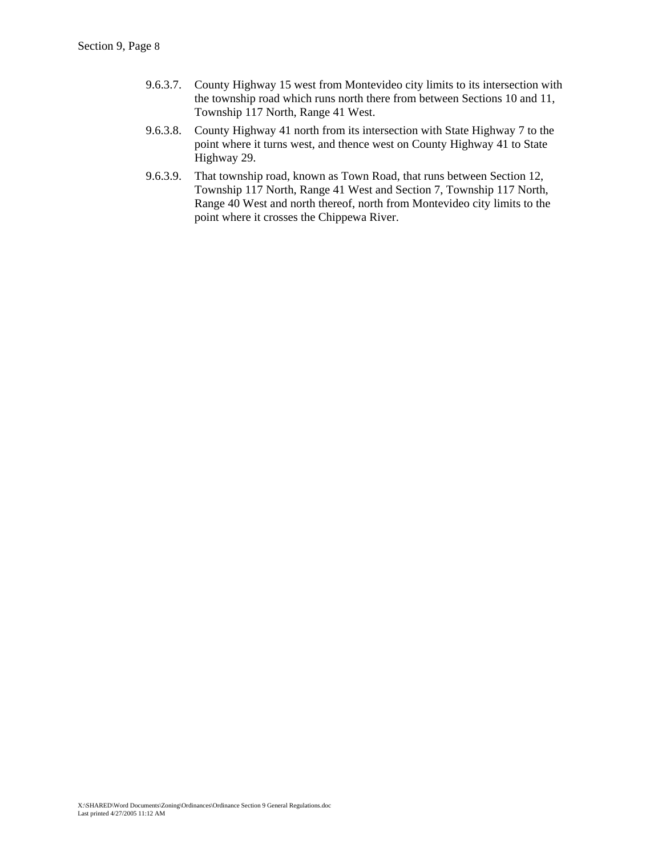- 9.6.3.7. County Highway 15 west from Montevideo city limits to its intersection with the township road which runs north there from between Sections 10 and 11, Township 117 North, Range 41 West.
- 9.6.3.8. County Highway 41 north from its intersection with State Highway 7 to the point where it turns west, and thence west on County Highway 41 to State Highway 29.
- 9.6.3.9. That township road, known as Town Road, that runs between Section 12, Township 117 North, Range 41 West and Section 7, Township 117 North, Range 40 West and north thereof, north from Montevideo city limits to the point where it crosses the Chippewa River.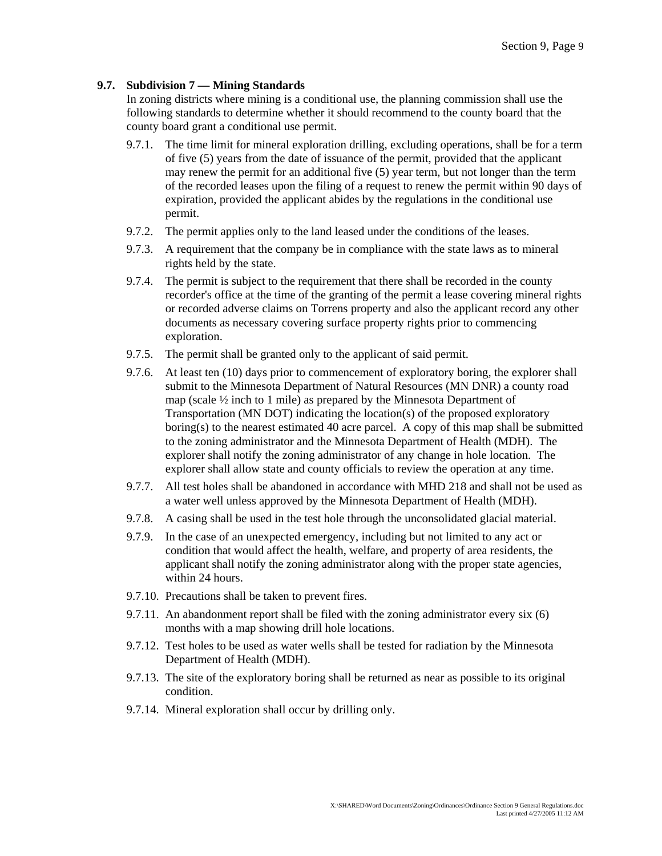#### **9.7. Subdivision 7 — Mining Standards**

In zoning districts where mining is a conditional use, the planning commission shall use the following standards to determine whether it should recommend to the county board that the county board grant a conditional use permit.

- 9.7.1. The time limit for mineral exploration drilling, excluding operations, shall be for a term of five (5) years from the date of issuance of the permit, provided that the applicant may renew the permit for an additional five (5) year term, but not longer than the term of the recorded leases upon the filing of a request to renew the permit within 90 days of expiration, provided the applicant abides by the regulations in the conditional use permit.
- 9.7.2. The permit applies only to the land leased under the conditions of the leases.
- 9.7.3. A requirement that the company be in compliance with the state laws as to mineral rights held by the state.
- 9.7.4. The permit is subject to the requirement that there shall be recorded in the county recorder's office at the time of the granting of the permit a lease covering mineral rights or recorded adverse claims on Torrens property and also the applicant record any other documents as necessary covering surface property rights prior to commencing exploration.
- 9.7.5. The permit shall be granted only to the applicant of said permit.
- 9.7.6. At least ten (10) days prior to commencement of exploratory boring, the explorer shall submit to the Minnesota Department of Natural Resources (MN DNR) a county road map (scale ½ inch to 1 mile) as prepared by the Minnesota Department of Transportation (MN DOT) indicating the location(s) of the proposed exploratory boring(s) to the nearest estimated 40 acre parcel. A copy of this map shall be submitted to the zoning administrator and the Minnesota Department of Health (MDH). The explorer shall notify the zoning administrator of any change in hole location. The explorer shall allow state and county officials to review the operation at any time.
- 9.7.7. All test holes shall be abandoned in accordance with MHD 218 and shall not be used as a water well unless approved by the Minnesota Department of Health (MDH).
- 9.7.8. A casing shall be used in the test hole through the unconsolidated glacial material.
- 9.7.9. In the case of an unexpected emergency, including but not limited to any act or condition that would affect the health, welfare, and property of area residents, the applicant shall notify the zoning administrator along with the proper state agencies, within 24 hours.
- 9.7.10. Precautions shall be taken to prevent fires.
- 9.7.11. An abandonment report shall be filed with the zoning administrator every six (6) months with a map showing drill hole locations.
- 9.7.12. Test holes to be used as water wells shall be tested for radiation by the Minnesota Department of Health (MDH).
- 9.7.13. The site of the exploratory boring shall be returned as near as possible to its original condition.
- 9.7.14. Mineral exploration shall occur by drilling only.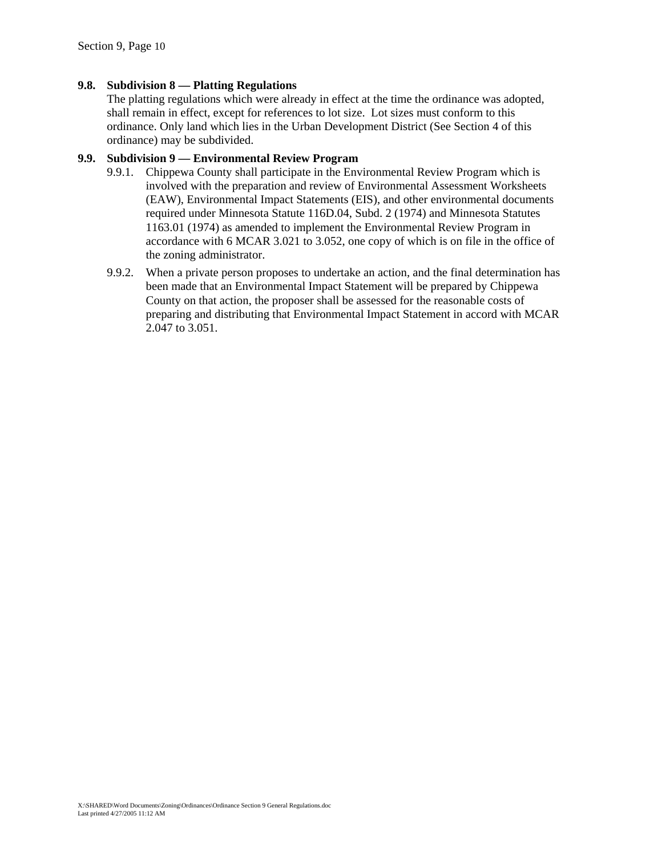### **9.8. Subdivision 8 — Platting Regulations**

The platting regulations which were already in effect at the time the ordinance was adopted, shall remain in effect, except for references to lot size. Lot sizes must conform to this ordinance. Only land which lies in the Urban Development District (See Section 4 of this ordinance) may be subdivided.

## **9.9. Subdivision 9 — Environmental Review Program**

- 9.9.1. Chippewa County shall participate in the Environmental Review Program which is involved with the preparation and review of Environmental Assessment Worksheets (EAW), Environmental Impact Statements (EIS), and other environmental documents required under Minnesota Statute 116D.04, Subd. 2 (1974) and Minnesota Statutes 1163.01 (1974) as amended to implement the Environmental Review Program in accordance with 6 MCAR 3.021 to 3.052, one copy of which is on file in the office of the zoning administrator.
- 9.9.2. When a private person proposes to undertake an action, and the final determination has been made that an Environmental Impact Statement will be prepared by Chippewa County on that action, the proposer shall be assessed for the reasonable costs of preparing and distributing that Environmental Impact Statement in accord with MCAR 2.047 to 3.051.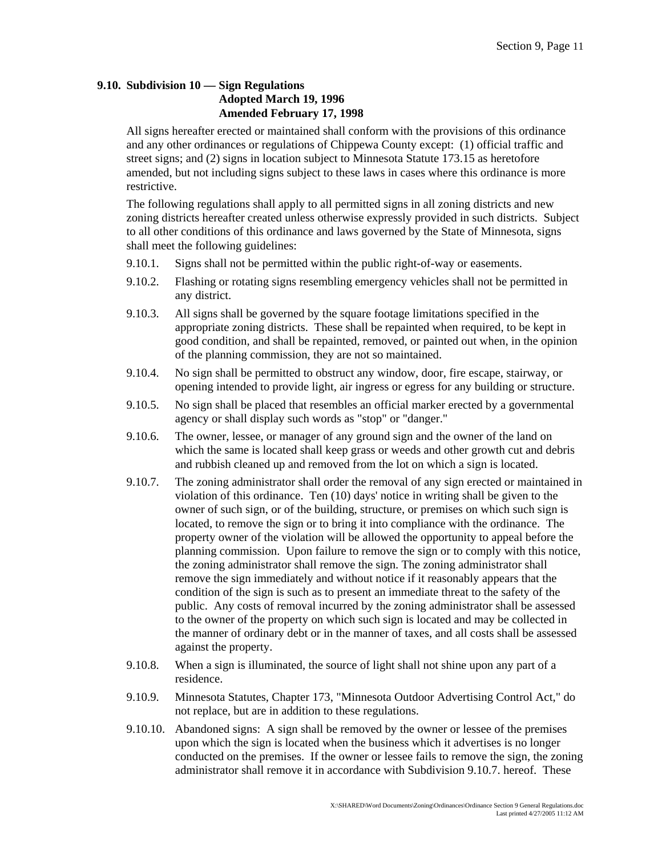#### **9.10. Subdivision 10 — Sign Regulations Adopted March 19, 1996 Amended February 17, 1998**

 All signs hereafter erected or maintained shall conform with the provisions of this ordinance and any other ordinances or regulations of Chippewa County except: (1) official traffic and street signs; and (2) signs in location subject to Minnesota Statute 173.15 as heretofore amended, but not including signs subject to these laws in cases where this ordinance is more restrictive.

 The following regulations shall apply to all permitted signs in all zoning districts and new zoning districts hereafter created unless otherwise expressly provided in such districts. Subject to all other conditions of this ordinance and laws governed by the State of Minnesota, signs shall meet the following guidelines:

- 9.10.1. Signs shall not be permitted within the public right-of-way or easements.
- 9.10.2. Flashing or rotating signs resembling emergency vehicles shall not be permitted in any district.
- 9.10.3. All signs shall be governed by the square footage limitations specified in the appropriate zoning districts. These shall be repainted when required, to be kept in good condition, and shall be repainted, removed, or painted out when, in the opinion of the planning commission, they are not so maintained.
- 9.10.4. No sign shall be permitted to obstruct any window, door, fire escape, stairway, or opening intended to provide light, air ingress or egress for any building or structure.
- 9.10.5. No sign shall be placed that resembles an official marker erected by a governmental agency or shall display such words as "stop" or "danger."
- 9.10.6. The owner, lessee, or manager of any ground sign and the owner of the land on which the same is located shall keep grass or weeds and other growth cut and debris and rubbish cleaned up and removed from the lot on which a sign is located.
- 9.10.7. The zoning administrator shall order the removal of any sign erected or maintained in violation of this ordinance. Ten (10) days' notice in writing shall be given to the owner of such sign, or of the building, structure, or premises on which such sign is located, to remove the sign or to bring it into compliance with the ordinance. The property owner of the violation will be allowed the opportunity to appeal before the planning commission. Upon failure to remove the sign or to comply with this notice, the zoning administrator shall remove the sign. The zoning administrator shall remove the sign immediately and without notice if it reasonably appears that the condition of the sign is such as to present an immediate threat to the safety of the public. Any costs of removal incurred by the zoning administrator shall be assessed to the owner of the property on which such sign is located and may be collected in the manner of ordinary debt or in the manner of taxes, and all costs shall be assessed against the property.
- 9.10.8. When a sign is illuminated, the source of light shall not shine upon any part of a residence.
- 9.10.9. Minnesota Statutes, Chapter 173, "Minnesota Outdoor Advertising Control Act," do not replace, but are in addition to these regulations.
- 9.10.10. Abandoned signs: A sign shall be removed by the owner or lessee of the premises upon which the sign is located when the business which it advertises is no longer conducted on the premises. If the owner or lessee fails to remove the sign, the zoning administrator shall remove it in accordance with Subdivision 9.10.7. hereof. These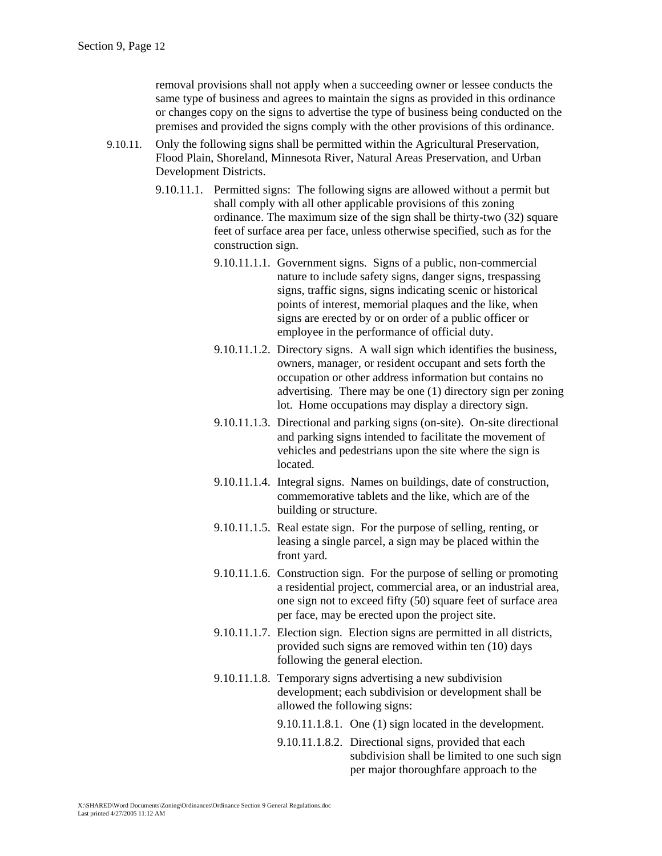removal provisions shall not apply when a succeeding owner or lessee conducts the same type of business and agrees to maintain the signs as provided in this ordinance or changes copy on the signs to advertise the type of business being conducted on the premises and provided the signs comply with the other provisions of this ordinance.

- 9.10.11. Only the following signs shall be permitted within the Agricultural Preservation, Flood Plain, Shoreland, Minnesota River, Natural Areas Preservation, and Urban Development Districts.
	- 9.10.11.1. Permitted signs: The following signs are allowed without a permit but shall comply with all other applicable provisions of this zoning ordinance. The maximum size of the sign shall be thirty-two (32) square feet of surface area per face, unless otherwise specified, such as for the construction sign.
		- 9.10.11.1.1. Government signs. Signs of a public, non-commercial nature to include safety signs, danger signs, trespassing signs, traffic signs, signs indicating scenic or historical points of interest, memorial plaques and the like, when signs are erected by or on order of a public officer or employee in the performance of official duty.
		- 9.10.11.1.2. Directory signs. A wall sign which identifies the business, owners, manager, or resident occupant and sets forth the occupation or other address information but contains no advertising. There may be one (1) directory sign per zoning lot. Home occupations may display a directory sign.
		- 9.10.11.1.3. Directional and parking signs (on-site). On-site directional and parking signs intended to facilitate the movement of vehicles and pedestrians upon the site where the sign is located.
		- 9.10.11.1.4. Integral signs. Names on buildings, date of construction, commemorative tablets and the like, which are of the building or structure.
		- 9.10.11.1.5. Real estate sign. For the purpose of selling, renting, or leasing a single parcel, a sign may be placed within the front yard.
		- 9.10.11.1.6. Construction sign. For the purpose of selling or promoting a residential project, commercial area, or an industrial area, one sign not to exceed fifty (50) square feet of surface area per face, may be erected upon the project site.
		- 9.10.11.1.7. Election sign. Election signs are permitted in all districts, provided such signs are removed within ten (10) days following the general election.
		- 9.10.11.1.8. Temporary signs advertising a new subdivision development; each subdivision or development shall be allowed the following signs:
			- 9.10.11.1.8.1. One (1) sign located in the development.
			- 9.10.11.1.8.2. Directional signs, provided that each subdivision shall be limited to one such sign per major thoroughfare approach to the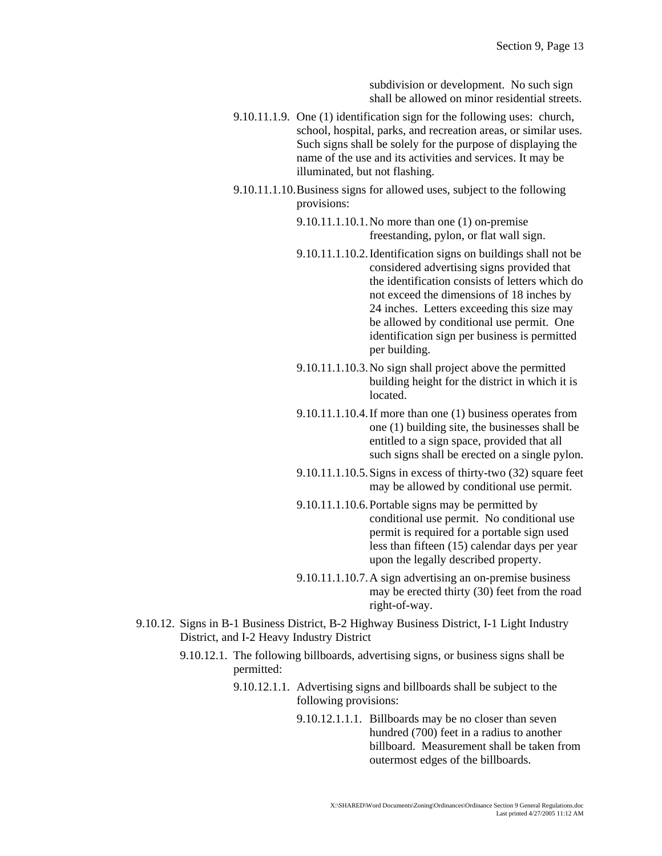subdivision or development. No such sign shall be allowed on minor residential streets.

- 9.10.11.1.9. One (1) identification sign for the following uses: church, school, hospital, parks, and recreation areas, or similar uses. Such signs shall be solely for the purpose of displaying the name of the use and its activities and services. It may be illuminated, but not flashing.
- 9.10.11.1.10. Business signs for allowed uses, subject to the following provisions:
	- 9.10.11.1.10.1. No more than one (1) on-premise freestanding, pylon, or flat wall sign.
	- 9.10.11.1.10.2. Identification signs on buildings shall not be considered advertising signs provided that the identification consists of letters which do not exceed the dimensions of 18 inches by 24 inches. Letters exceeding this size may be allowed by conditional use permit. One identification sign per business is permitted per building.
	- 9.10.11.1.10.3. No sign shall project above the permitted building height for the district in which it is located.
	- 9.10.11.1.10.4. If more than one (1) business operates from one (1) building site, the businesses shall be entitled to a sign space, provided that all such signs shall be erected on a single pylon.
	- 9.10.11.1.10.5. Signs in excess of thirty-two (32) square feet may be allowed by conditional use permit.
	- 9.10.11.1.10.6. Portable signs may be permitted by conditional use permit. No conditional use permit is required for a portable sign used less than fifteen (15) calendar days per year upon the legally described property.
	- 9.10.11.1.10.7. A sign advertising an on-premise business may be erected thirty (30) feet from the road right-of-way.
- 9.10.12. Signs in B-1 Business District, B-2 Highway Business District, I-1 Light Industry District, and I-2 Heavy Industry District
	- 9.10.12.1. The following billboards, advertising signs, or business signs shall be permitted:
		- 9.10.12.1.1. Advertising signs and billboards shall be subject to the following provisions:
			- 9.10.12.1.1.1. Billboards may be no closer than seven hundred (700) feet in a radius to another billboard. Measurement shall be taken from outermost edges of the billboards.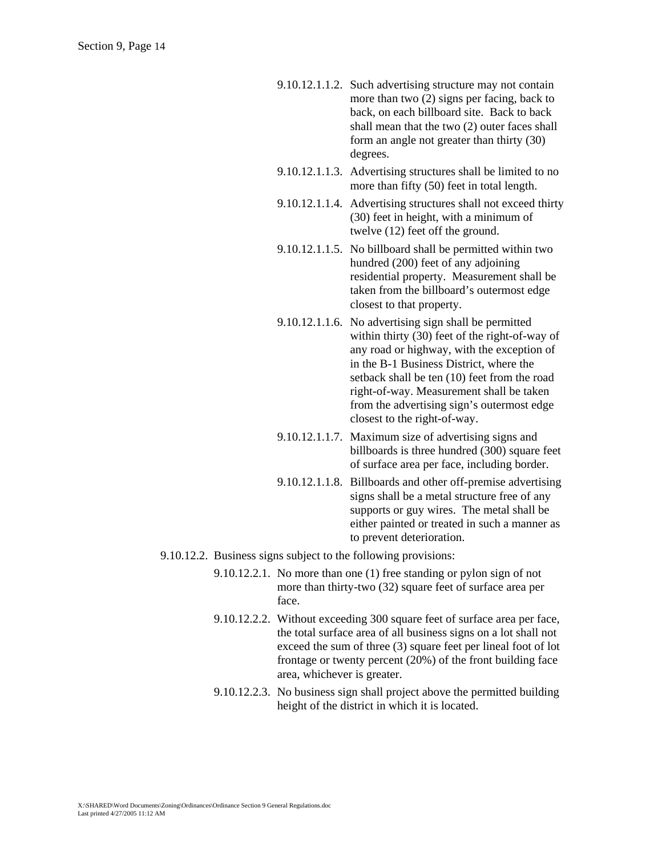- 9.10.12.1.1.2. Such advertising structure may not contain more than two (2) signs per facing, back to back, on each billboard site. Back to back shall mean that the two (2) outer faces shall form an angle not greater than thirty (30) degrees.
- 9.10.12.1.1.3. Advertising structures shall be limited to no more than fifty (50) feet in total length.
- 9.10.12.1.1.4. Advertising structures shall not exceed thirty (30) feet in height, with a minimum of twelve (12) feet off the ground.
- 9.10.12.1.1.5. No billboard shall be permitted within two hundred (200) feet of any adjoining residential property. Measurement shall be taken from the billboard's outermost edge closest to that property.
- 9.10.12.1.1.6. No advertising sign shall be permitted within thirty (30) feet of the right-of-way of any road or highway, with the exception of in the B-1 Business District, where the setback shall be ten (10) feet from the road right-of-way. Measurement shall be taken from the advertising sign's outermost edge closest to the right-of-way.
- 9.10.12.1.1.7. Maximum size of advertising signs and billboards is three hundred (300) square feet of surface area per face, including border.
- 9.10.12.1.1.8. Billboards and other off-premise advertising signs shall be a metal structure free of any supports or guy wires. The metal shall be either painted or treated in such a manner as to prevent deterioration.
- 9.10.12.2. Business signs subject to the following provisions:
	- 9.10.12.2.1. No more than one (1) free standing or pylon sign of not more than thirty-two (32) square feet of surface area per face.
	- 9.10.12.2.2. Without exceeding 300 square feet of surface area per face, the total surface area of all business signs on a lot shall not exceed the sum of three (3) square feet per lineal foot of lot frontage or twenty percent (20%) of the front building face area, whichever is greater.
	- 9.10.12.2.3. No business sign shall project above the permitted building height of the district in which it is located.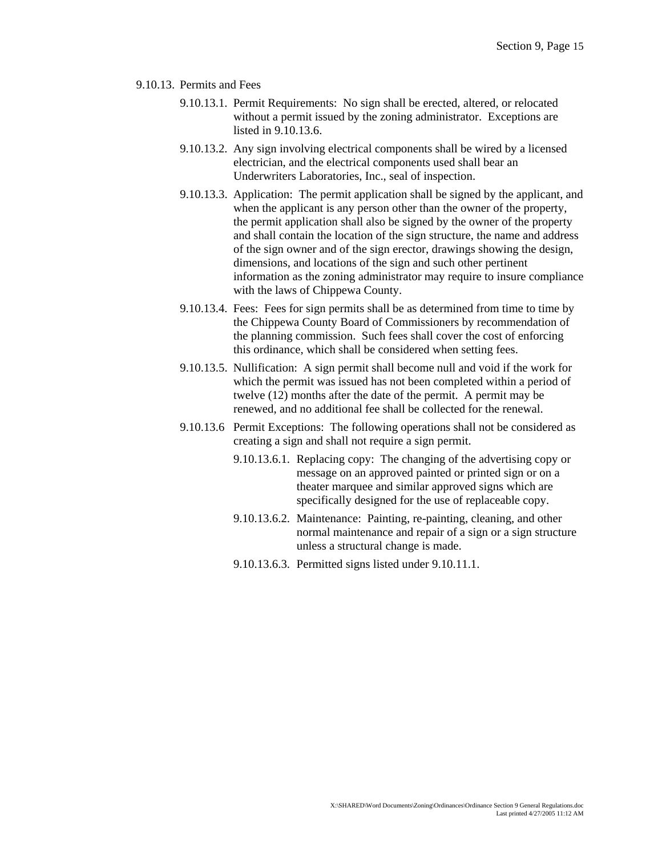- 9.10.13. Permits and Fees
	- 9.10.13.1. Permit Requirements: No sign shall be erected, altered, or relocated without a permit issued by the zoning administrator. Exceptions are listed in 9.10.13.6.
	- 9.10.13.2. Any sign involving electrical components shall be wired by a licensed electrician, and the electrical components used shall bear an Underwriters Laboratories, Inc., seal of inspection.
	- 9.10.13.3. Application: The permit application shall be signed by the applicant, and when the applicant is any person other than the owner of the property, the permit application shall also be signed by the owner of the property and shall contain the location of the sign structure, the name and address of the sign owner and of the sign erector, drawings showing the design, dimensions, and locations of the sign and such other pertinent information as the zoning administrator may require to insure compliance with the laws of Chippewa County.
	- 9.10.13.4. Fees: Fees for sign permits shall be as determined from time to time by the Chippewa County Board of Commissioners by recommendation of the planning commission. Such fees shall cover the cost of enforcing this ordinance, which shall be considered when setting fees.
	- 9.10.13.5. Nullification: A sign permit shall become null and void if the work for which the permit was issued has not been completed within a period of twelve (12) months after the date of the permit. A permit may be renewed, and no additional fee shall be collected for the renewal.
	- 9.10.13.6 Permit Exceptions: The following operations shall not be considered as creating a sign and shall not require a sign permit.
		- 9.10.13.6.1. Replacing copy: The changing of the advertising copy or message on an approved painted or printed sign or on a theater marquee and similar approved signs which are specifically designed for the use of replaceable copy.
		- 9.10.13.6.2. Maintenance: Painting, re-painting, cleaning, and other normal maintenance and repair of a sign or a sign structure unless a structural change is made.
		- 9.10.13.6.3. Permitted signs listed under 9.10.11.1.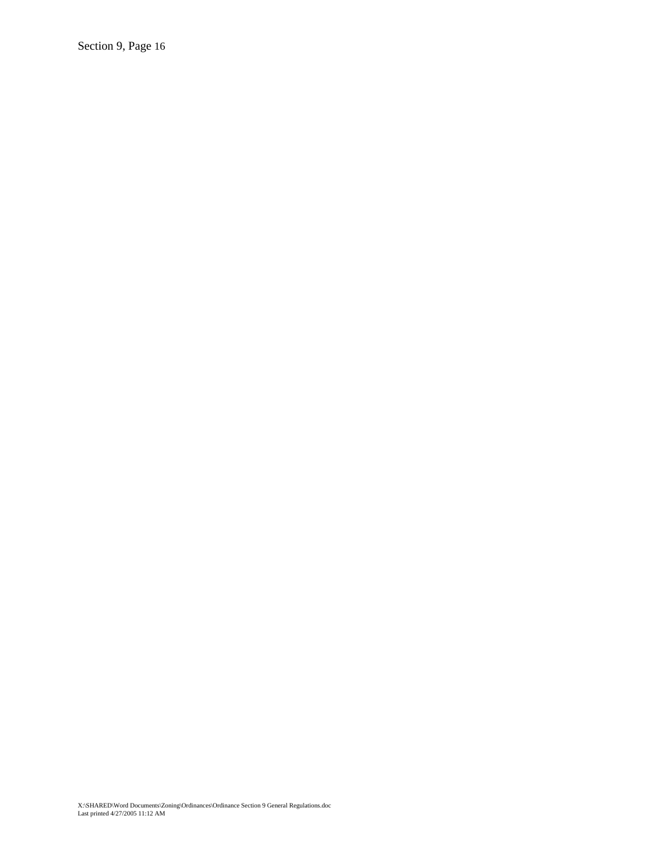Section 9, Page 16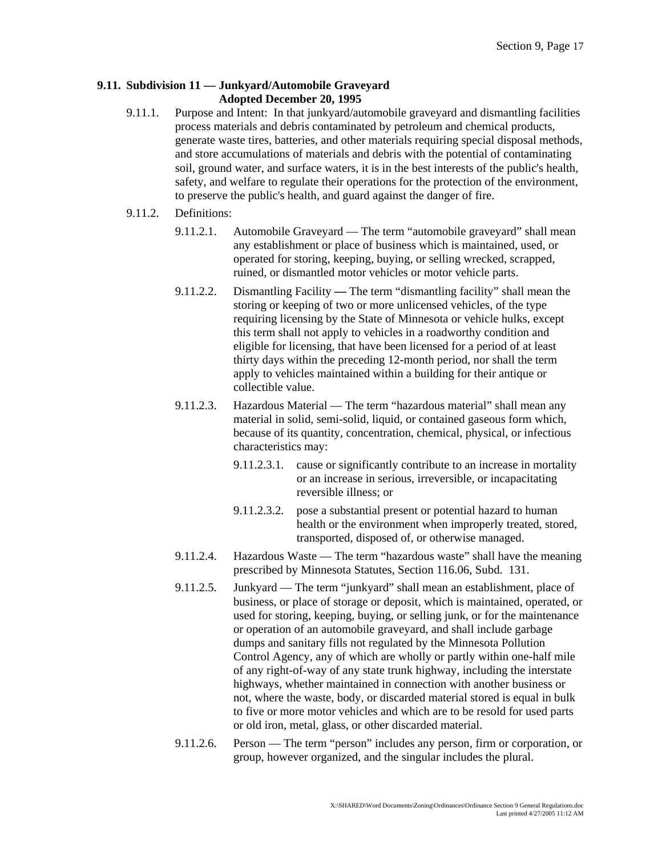#### **9.11. Subdivision 11 — Junkyard/Automobile Graveyard Adopted December 20, 1995**

- 9.11.1. Purpose and Intent: In that junkyard/automobile graveyard and dismantling facilities process materials and debris contaminated by petroleum and chemical products, generate waste tires, batteries, and other materials requiring special disposal methods, and store accumulations of materials and debris with the potential of contaminating soil, ground water, and surface waters, it is in the best interests of the public's health, safety, and welfare to regulate their operations for the protection of the environment, to preserve the public's health, and guard against the danger of fire.
- 9.11.2. Definitions:
	- 9.11.2.1. Automobile Graveyard The term "automobile graveyard" shall mean any establishment or place of business which is maintained, used, or operated for storing, keeping, buying, or selling wrecked, scrapped, ruined, or dismantled motor vehicles or motor vehicle parts.
	- 9.11.2.2. Dismantling Facility The term "dismantling facility" shall mean the storing or keeping of two or more unlicensed vehicles, of the type requiring licensing by the State of Minnesota or vehicle hulks, except this term shall not apply to vehicles in a roadworthy condition and eligible for licensing, that have been licensed for a period of at least thirty days within the preceding 12-month period, nor shall the term apply to vehicles maintained within a building for their antique or collectible value.
	- 9.11.2.3. Hazardous Material The term "hazardous material" shall mean any material in solid, semi-solid, liquid, or contained gaseous form which, because of its quantity, concentration, chemical, physical, or infectious characteristics may:
		- 9.11.2.3.1. cause or significantly contribute to an increase in mortality or an increase in serious, irreversible, or incapacitating reversible illness; or
		- 9.11.2.3.2. pose a substantial present or potential hazard to human health or the environment when improperly treated, stored, transported, disposed of, or otherwise managed.
	- 9.11.2.4. Hazardous Waste The term "hazardous waste" shall have the meaning prescribed by Minnesota Statutes, Section 116.06, Subd. 131.
	- 9.11.2.5. Junkyard The term "junkyard" shall mean an establishment, place of business, or place of storage or deposit, which is maintained, operated, or used for storing, keeping, buying, or selling junk, or for the maintenance or operation of an automobile graveyard, and shall include garbage dumps and sanitary fills not regulated by the Minnesota Pollution Control Agency, any of which are wholly or partly within one-half mile of any right-of-way of any state trunk highway, including the interstate highways, whether maintained in connection with another business or not, where the waste, body, or discarded material stored is equal in bulk to five or more motor vehicles and which are to be resold for used parts or old iron, metal, glass, or other discarded material.
	- 9.11.2.6. Person The term "person" includes any person, firm or corporation, or group, however organized, and the singular includes the plural.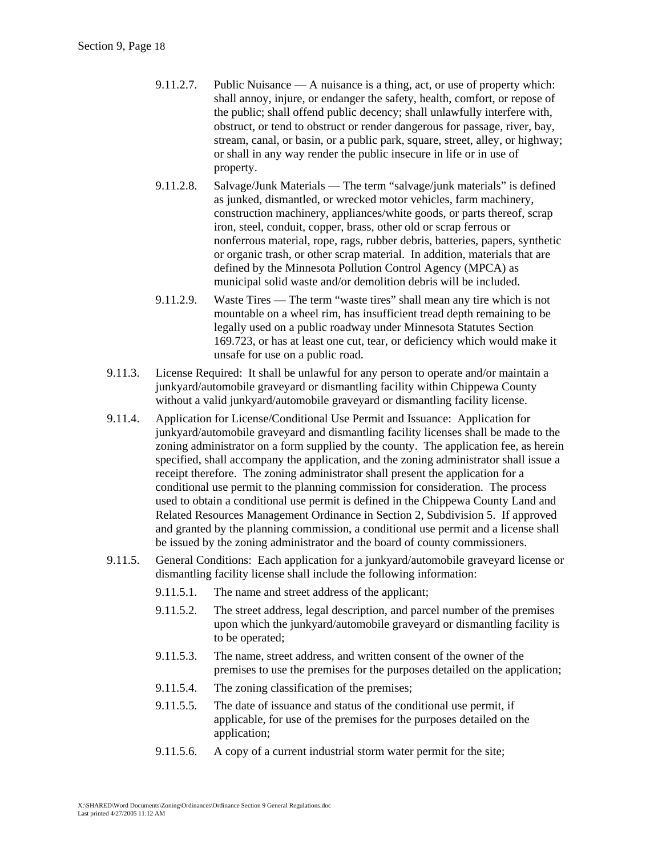- 9.11.2.7. Public Nuisance A nuisance is a thing, act, or use of property which: shall annoy, injure, or endanger the safety, health, comfort, or repose of the public; shall offend public decency; shall unlawfully interfere with, obstruct, or tend to obstruct or render dangerous for passage, river, bay, stream, canal, or basin, or a public park, square, street, alley, or highway; or shall in any way render the public insecure in life or in use of property.
- 9.11.2.8. Salvage/Junk Materials The term "salvage/junk materials" is defined as junked, dismantled, or wrecked motor vehicles, farm machinery, construction machinery, appliances/white goods, or parts thereof, scrap iron, steel, conduit, copper, brass, other old or scrap ferrous or nonferrous material, rope, rags, rubber debris, batteries, papers, synthetic or organic trash, or other scrap material. In addition, materials that are defined by the Minnesota Pollution Control Agency (MPCA) as municipal solid waste and/or demolition debris will be included.
- 9.11.2.9. Waste Tires The term "waste tires" shall mean any tire which is not mountable on a wheel rim, has insufficient tread depth remaining to be legally used on a public roadway under Minnesota Statutes Section 169.723, or has at least one cut, tear, or deficiency which would make it unsafe for use on a public road.
- 9.11.3. License Required:It shall be unlawful for any person to operate and/or maintain a junkyard/automobile graveyard or dismantling facility within Chippewa County without a valid junkyard/automobile graveyard or dismantling facility license.
- 9.11.4. Application for License/Conditional Use Permit and Issuance: Application for junkyard/automobile graveyard and dismantling facility licenses shall be made to the zoning administrator on a form supplied by the county. The application fee, as herein specified, shall accompany the application, and the zoning administrator shall issue a receipt therefore. The zoning administrator shall present the application for a conditional use permit to the planning commission for consideration. The process used to obtain a conditional use permit is defined in the Chippewa County Land and Related Resources Management Ordinance in Section 2, Subdivision 5. If approved and granted by the planning commission, a conditional use permit and a license shall be issued by the zoning administrator and the board of county commissioners.
- 9.11.5. General Conditions:Each application for a junkyard/automobile graveyard license or dismantling facility license shall include the following information:
	- 9.11.5.1. The name and street address of the applicant;
	- 9.11.5.2. The street address, legal description, and parcel number of the premises upon which the junkyard/automobile graveyard or dismantling facility is to be operated;
	- 9.11.5.3. The name, street address, and written consent of the owner of the premises to use the premises for the purposes detailed on the application;
	- 9.11.5.4. The zoning classification of the premises;
	- 9.11.5.5. The date of issuance and status of the conditional use permit, if applicable, for use of the premises for the purposes detailed on the application;
	- 9.11.5.6. A copy of a current industrial storm water permit for the site;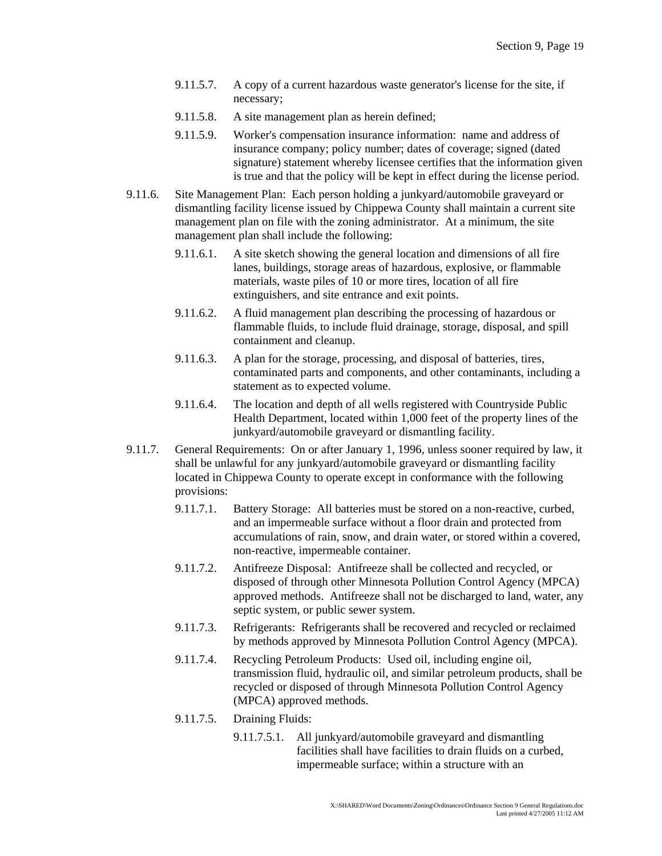- 9.11.5.7. A copy of a current hazardous waste generator's license for the site, if necessary;
- 9.11.5.8. A site management plan as herein defined;
- 9.11.5.9. Worker's compensation insurance information: name and address of insurance company; policy number; dates of coverage; signed (dated signature) statement whereby licensee certifies that the information given is true and that the policy will be kept in effect during the license period.
- 9.11.6. Site Management Plan:Each person holding a junkyard/automobile graveyard or dismantling facility license issued by Chippewa County shall maintain a current site management plan on file with the zoning administrator. At a minimum, the site management plan shall include the following:
	- 9.11.6.1. A site sketch showing the general location and dimensions of all fire lanes, buildings, storage areas of hazardous, explosive, or flammable materials, waste piles of 10 or more tires, location of all fire extinguishers, and site entrance and exit points.
	- 9.11.6.2. A fluid management plan describing the processing of hazardous or flammable fluids, to include fluid drainage, storage, disposal, and spill containment and cleanup.
	- 9.11.6.3. A plan for the storage, processing, and disposal of batteries, tires, contaminated parts and components, and other contaminants, including a statement as to expected volume.
	- 9.11.6.4. The location and depth of all wells registered with Countryside Public Health Department, located within 1,000 feet of the property lines of the junkyard/automobile graveyard or dismantling facility.
- 9.11.7. General Requirements: On or after January 1, 1996, unless sooner required by law, it shall be unlawful for any junkyard/automobile graveyard or dismantling facility located in Chippewa County to operate except in conformance with the following provisions:
	- 9.11.7.1. Battery Storage: All batteries must be stored on a non-reactive, curbed, and an impermeable surface without a floor drain and protected from accumulations of rain, snow, and drain water, or stored within a covered, non-reactive, impermeable container.
	- 9.11.7.2. Antifreeze Disposal:Antifreeze shall be collected and recycled, or disposed of through other Minnesota Pollution Control Agency (MPCA) approved methods. Antifreeze shall not be discharged to land, water, any septic system, or public sewer system.
	- 9.11.7.3. Refrigerants: Refrigerants shall be recovered and recycled or reclaimed by methods approved by Minnesota Pollution Control Agency (MPCA).
	- 9.11.7.4. Recycling Petroleum Products: Used oil, including engine oil, transmission fluid, hydraulic oil, and similar petroleum products, shall be recycled or disposed of through Minnesota Pollution Control Agency (MPCA) approved methods.
	- 9.11.7.5. Draining Fluids:
		- 9.11.7.5.1. All junkyard/automobile graveyard and dismantling facilities shall have facilities to drain fluids on a curbed, impermeable surface; within a structure with an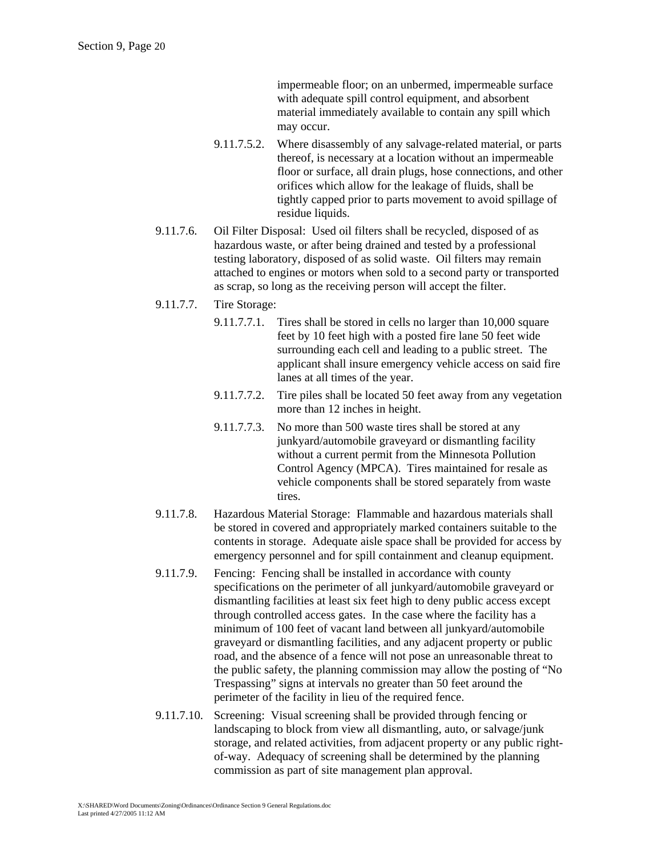impermeable floor; on an unbermed, impermeable surface with adequate spill control equipment, and absorbent material immediately available to contain any spill which may occur.

- 9.11.7.5.2. Where disassembly of any salvage-related material, or parts thereof, is necessary at a location without an impermeable floor or surface, all drain plugs, hose connections, and other orifices which allow for the leakage of fluids, shall be tightly capped prior to parts movement to avoid spillage of residue liquids.
- 9.11.7.6. Oil Filter Disposal:Used oil filters shall be recycled, disposed of as hazardous waste, or after being drained and tested by a professional testing laboratory, disposed of as solid waste. Oil filters may remain attached to engines or motors when sold to a second party or transported as scrap, so long as the receiving person will accept the filter.
- 9.11.7.7. Tire Storage:
	- 9.11.7.7.1. Tires shall be stored in cells no larger than 10,000 square feet by 10 feet high with a posted fire lane 50 feet wide surrounding each cell and leading to a public street. The applicant shall insure emergency vehicle access on said fire lanes at all times of the year.
	- 9.11.7.7.2. Tire piles shall be located 50 feet away from any vegetation more than 12 inches in height.
	- 9.11.7.7.3. No more than 500 waste tires shall be stored at any junkyard/automobile graveyard or dismantling facility without a current permit from the Minnesota Pollution Control Agency (MPCA). Tires maintained for resale as vehicle components shall be stored separately from waste tires.
- 9.11.7.8. Hazardous Material Storage:Flammable and hazardous materials shall be stored in covered and appropriately marked containers suitable to the contents in storage. Adequate aisle space shall be provided for access by emergency personnel and for spill containment and cleanup equipment.
- 9.11.7.9. Fencing:Fencing shall be installed in accordance with county specifications on the perimeter of all junkyard/automobile graveyard or dismantling facilities at least six feet high to deny public access except through controlled access gates. In the case where the facility has a minimum of 100 feet of vacant land between all junkyard/automobile graveyard or dismantling facilities, and any adjacent property or public road, and the absence of a fence will not pose an unreasonable threat to the public safety, the planning commission may allow the posting of "No Trespassing" signs at intervals no greater than 50 feet around the perimeter of the facility in lieu of the required fence.
- 9.11.7.10. Screening:Visual screening shall be provided through fencing or landscaping to block from view all dismantling, auto, or salvage/junk storage, and related activities, from adjacent property or any public rightof-way. Adequacy of screening shall be determined by the planning commission as part of site management plan approval.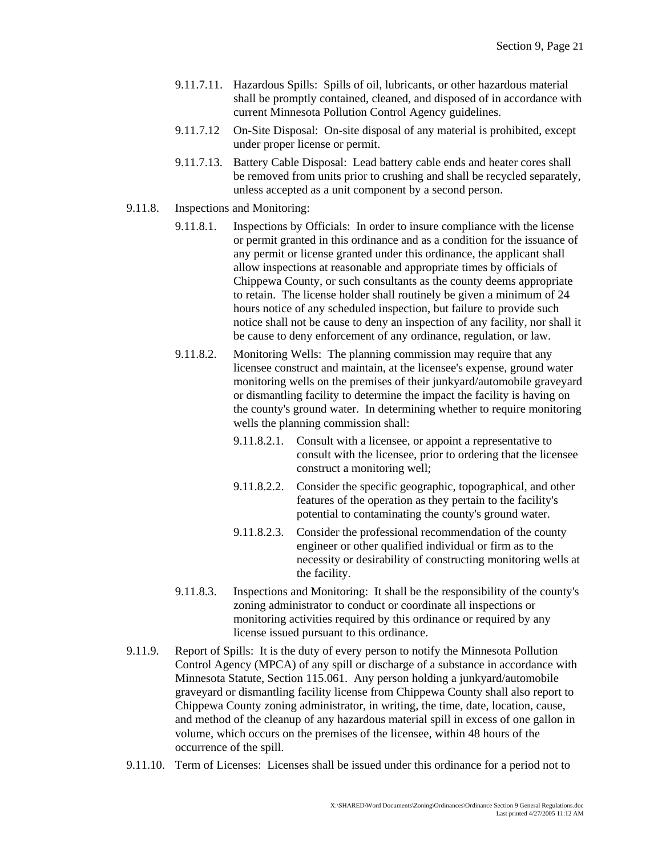- 9.11.7.11. Hazardous Spills: Spills of oil, lubricants, or other hazardous material shall be promptly contained, cleaned, and disposed of in accordance with current Minnesota Pollution Control Agency guidelines.
- 9.11.7.12 On-Site Disposal: On-site disposal of any material is prohibited, except under proper license or permit.
- 9.11.7.13. Battery Cable Disposal: Lead battery cable ends and heater cores shall be removed from units prior to crushing and shall be recycled separately, unless accepted as a unit component by a second person.
- 9.11.8. Inspections and Monitoring:
	- 9.11.8.1. Inspections by Officials: In order to insure compliance with the license or permit granted in this ordinance and as a condition for the issuance of any permit or license granted under this ordinance, the applicant shall allow inspections at reasonable and appropriate times by officials of Chippewa County, or such consultants as the county deems appropriate to retain. The license holder shall routinely be given a minimum of 24 hours notice of any scheduled inspection, but failure to provide such notice shall not be cause to deny an inspection of any facility, nor shall it be cause to deny enforcement of any ordinance, regulation, or law.
	- 9.11.8.2. Monitoring Wells:The planning commission may require that any licensee construct and maintain, at the licensee's expense, ground water monitoring wells on the premises of their junkyard/automobile graveyard or dismantling facility to determine the impact the facility is having on the county's ground water. In determining whether to require monitoring wells the planning commission shall:
		- 9.11.8.2.1. Consult with a licensee, or appoint a representative to consult with the licensee, prior to ordering that the licensee construct a monitoring well;
		- 9.11.8.2.2. Consider the specific geographic, topographical, and other features of the operation as they pertain to the facility's potential to contaminating the county's ground water.
		- 9.11.8.2.3. Consider the professional recommendation of the county engineer or other qualified individual or firm as to the necessity or desirability of constructing monitoring wells at the facility.
	- 9.11.8.3. Inspections and Monitoring: It shall be the responsibility of the county's zoning administrator to conduct or coordinate all inspections or monitoring activities required by this ordinance or required by any license issued pursuant to this ordinance.
- 9.11.9. Report of Spills: It is the duty of every person to notify the Minnesota Pollution Control Agency (MPCA) of any spill or discharge of a substance in accordance with Minnesota Statute, Section 115.061. Any person holding a junkyard/automobile graveyard or dismantling facility license from Chippewa County shall also report to Chippewa County zoning administrator, in writing, the time, date, location, cause, and method of the cleanup of any hazardous material spill in excess of one gallon in volume, which occurs on the premises of the licensee, within 48 hours of the occurrence of the spill.
- 9.11.10. Term of Licenses: Licenses shall be issued under this ordinance for a period not to